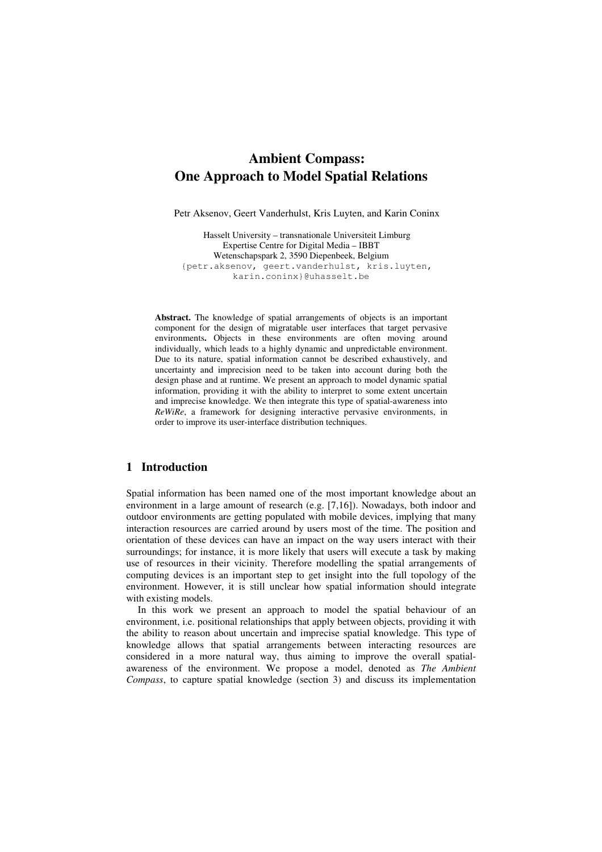# **Ambient Compass: One Approach to Model Spatial Relations**

Petr Aksenov, Geert Vanderhulst, Kris Luyten, and Karin Coninx

Hasselt University – transnationale Universiteit Limburg Expertise Centre for Digital Media – IBBT Wetenschapspark 2, 3590 Diepenbeek, Belgium {petr.aksenov, geert.vanderhulst, kris.luyten, karin.coninx}@uhasselt.be

**Abstract.** The knowledge of spatial arrangements of objects is an important component for the design of migratable user interfaces that target pervasive environments**.** Objects in these environments are often moving around individually, which leads to a highly dynamic and unpredictable environment. Due to its nature, spatial information cannot be described exhaustively, and uncertainty and imprecision need to be taken into account during both the design phase and at runtime. We present an approach to model dynamic spatial information, providing it with the ability to interpret to some extent uncertain and imprecise knowledge. We then integrate this type of spatial-awareness into *ReWiRe*, a framework for designing interactive pervasive environments, in order to improve its user-interface distribution techniques.

### **1 Introduction**

Spatial information has been named one of the most important knowledge about an environment in a large amount of research (e.g. [7,16]). Nowadays, both indoor and outdoor environments are getting populated with mobile devices, implying that many interaction resources are carried around by users most of the time. The position and orientation of these devices can have an impact on the way users interact with their surroundings; for instance, it is more likely that users will execute a task by making use of resources in their vicinity. Therefore modelling the spatial arrangements of computing devices is an important step to get insight into the full topology of the environment. However, it is still unclear how spatial information should integrate with existing models.

In this work we present an approach to model the spatial behaviour of an environment, i.e. positional relationships that apply between objects, providing it with the ability to reason about uncertain and imprecise spatial knowledge. This type of knowledge allows that spatial arrangements between interacting resources are considered in a more natural way, thus aiming to improve the overall spatialawareness of the environment. We propose a model, denoted as *The Ambient Compass*, to capture spatial knowledge (section 3) and discuss its implementation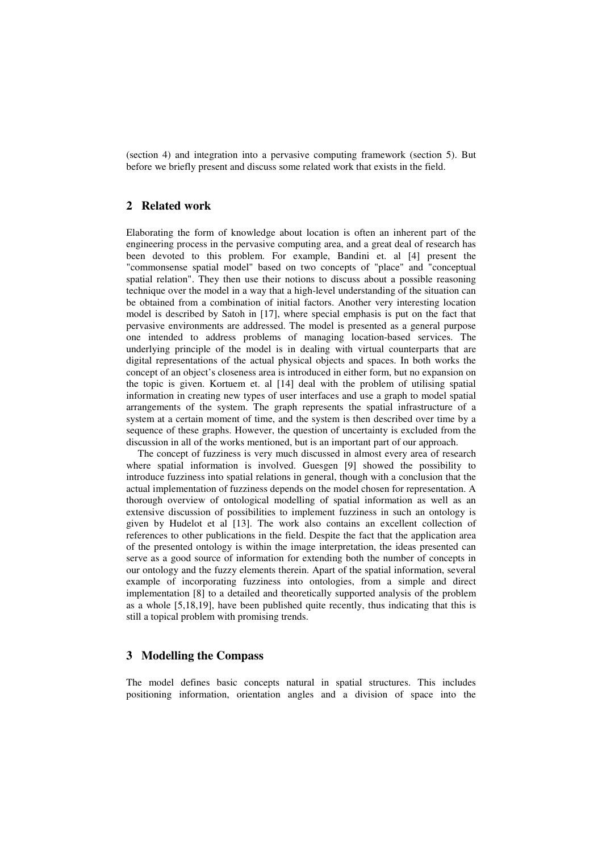(section 4) and integration into a pervasive computing framework (section 5). But before we briefly present and discuss some related work that exists in the field.

## **2 Related work**

Elaborating the form of knowledge about location is often an inherent part of the engineering process in the pervasive computing area, and a great deal of research has been devoted to this problem. For example, Bandini et. al [4] present the "commonsense spatial model" based on two concepts of "place" and "conceptual spatial relation". They then use their notions to discuss about a possible reasoning technique over the model in a way that a high-level understanding of the situation can be obtained from a combination of initial factors. Another very interesting location model is described by Satoh in [17], where special emphasis is put on the fact that pervasive environments are addressed. The model is presented as a general purpose one intended to address problems of managing location-based services. The underlying principle of the model is in dealing with virtual counterparts that are digital representations of the actual physical objects and spaces. In both works the concept of an object's closeness area is introduced in either form, but no expansion on the topic is given. Kortuem et. al [14] deal with the problem of utilising spatial information in creating new types of user interfaces and use a graph to model spatial arrangements of the system. The graph represents the spatial infrastructure of a system at a certain moment of time, and the system is then described over time by a sequence of these graphs. However, the question of uncertainty is excluded from the discussion in all of the works mentioned, but is an important part of our approach.

The concept of fuzziness is very much discussed in almost every area of research where spatial information is involved. Guesgen [9] showed the possibility to introduce fuzziness into spatial relations in general, though with a conclusion that the actual implementation of fuzziness depends on the model chosen for representation. A thorough overview of ontological modelling of spatial information as well as an extensive discussion of possibilities to implement fuzziness in such an ontology is given by Hudelot et al [13]. The work also contains an excellent collection of references to other publications in the field. Despite the fact that the application area of the presented ontology is within the image interpretation, the ideas presented can serve as a good source of information for extending both the number of concepts in our ontology and the fuzzy elements therein. Apart of the spatial information, several example of incorporating fuzziness into ontologies, from a simple and direct implementation [8] to a detailed and theoretically supported analysis of the problem as a whole [5,18,19], have been published quite recently, thus indicating that this is still a topical problem with promising trends.

### **3 Modelling the Compass**

The model defines basic concepts natural in spatial structures. This includes positioning information, orientation angles and a division of space into the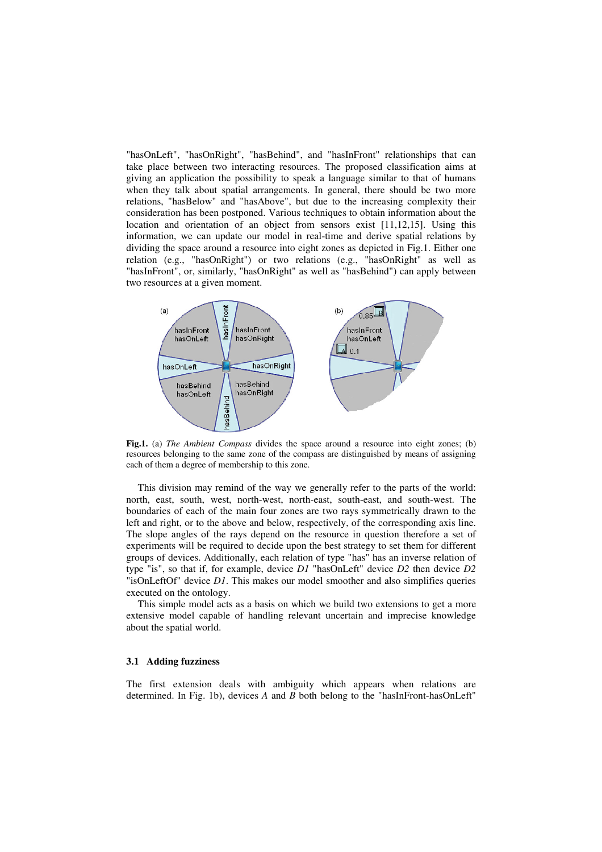"hasOnLeft", "hasOnRight", "hasBehind", and "hasInFront" relationships that can take place between two interacting resources. The proposed classification aims at giving an application the possibility to speak a language similar to that of humans when they talk about spatial arrangements. In general, there should be two more relations, "hasBelow" and "hasAbove", but due to the increasing complexity their consideration has been postponed. Various techniques to obtain information about the location and orientation of an object from sensors exist [11,12,15]. Using this information, we can update our model in real-time and derive spatial relations by dividing the space around a resource into eight zones as depicted in Fig.1. Either one relation (e.g., "hasOnRight") or two relations (e.g., "hasOnRight" as well as "hasInFront", or, similarly, "hasOnRight" as well as "hasBehind") can apply between two resources at a given moment.



**Fig.1.** (a) *The Ambient Compass* divides the space around a resource into eight zones; (b) resources belonging to the same zone of the compass are distinguished by means of assigning each of them a degree of membership to this zone.

This division may remind of the way we generally refer to the parts of the world: north, east, south, west, north-west, north-east, south-east, and south-west. The boundaries of each of the main four zones are two rays symmetrically drawn to the left and right, or to the above and below, respectively, of the corresponding axis line. The slope angles of the rays depend on the resource in question therefore a set of experiments will be required to decide upon the best strategy to set them for different groups of devices. Additionally, each relation of type "has" has an inverse relation of type "is", so that if, for example, device *D1* "hasOnLeft" device *D2* then device *D2* "isOnLeftOf" device *D1*. This makes our model smoother and also simplifies queries executed on the ontology.

This simple model acts as a basis on which we build two extensions to get a more extensive model capable of handling relevant uncertain and imprecise knowledge about the spatial world.

#### **3.1 Adding fuzziness**

The first extension deals with ambiguity which appears when relations are determined. In Fig. 1b), devices *A* and *B* both belong to the "hasInFront-hasOnLeft"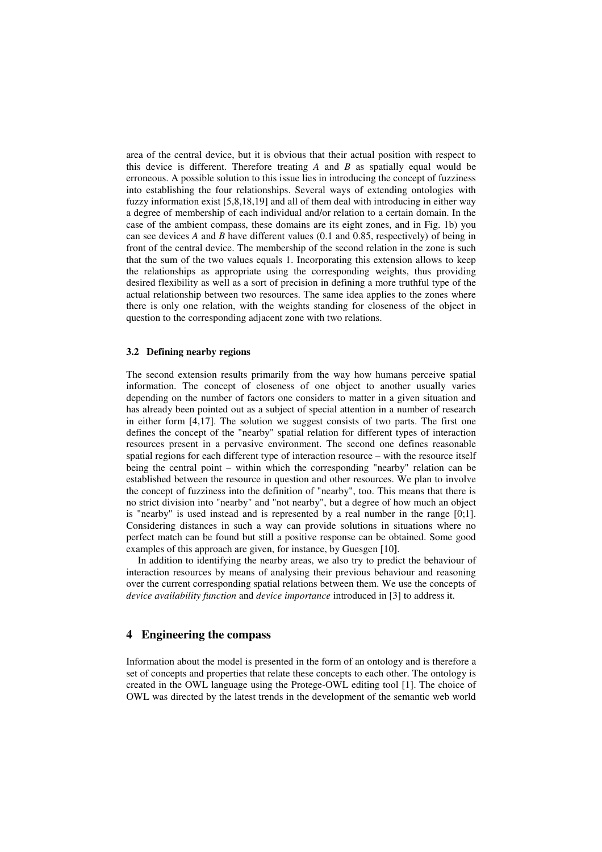area of the central device, but it is obvious that their actual position with respect to this device is different. Therefore treating *A* and *B* as spatially equal would be erroneous. A possible solution to this issue lies in introducing the concept of fuzziness into establishing the four relationships. Several ways of extending ontologies with fuzzy information exist [5,8,18,19] and all of them deal with introducing in either way a degree of membership of each individual and/or relation to a certain domain. In the case of the ambient compass, these domains are its eight zones, and in Fig. 1b) you can see devices *A* and *B* have different values (0.1 and 0.85, respectively) of being in front of the central device. The membership of the second relation in the zone is such that the sum of the two values equals 1. Incorporating this extension allows to keep the relationships as appropriate using the corresponding weights, thus providing desired flexibility as well as a sort of precision in defining a more truthful type of the actual relationship between two resources. The same idea applies to the zones where there is only one relation, with the weights standing for closeness of the object in question to the corresponding adjacent zone with two relations.

#### **3.2 Defining nearby regions**

The second extension results primarily from the way how humans perceive spatial information. The concept of closeness of one object to another usually varies depending on the number of factors one considers to matter in a given situation and has already been pointed out as a subject of special attention in a number of research in either form [4,17]. The solution we suggest consists of two parts. The first one defines the concept of the "nearby" spatial relation for different types of interaction resources present in a pervasive environment. The second one defines reasonable spatial regions for each different type of interaction resource – with the resource itself being the central point – within which the corresponding "nearby" relation can be established between the resource in question and other resources. We plan to involve the concept of fuzziness into the definition of "nearby", too. This means that there is no strict division into "nearby" and "not nearby", but a degree of how much an object is "nearby" is used instead and is represented by a real number in the range [0;1]. Considering distances in such a way can provide solutions in situations where no perfect match can be found but still a positive response can be obtained. Some good examples of this approach are given, for instance, by Guesgen [10**]**.

In addition to identifying the nearby areas, we also try to predict the behaviour of interaction resources by means of analysing their previous behaviour and reasoning over the current corresponding spatial relations between them. We use the concepts of *device availability function* and *device importance* introduced in [3] to address it.

### **4 Engineering the compass**

Information about the model is presented in the form of an ontology and is therefore a set of concepts and properties that relate these concepts to each other. The ontology is created in the OWL language using the Protege-OWL editing tool [1]. The choice of OWL was directed by the latest trends in the development of the semantic web world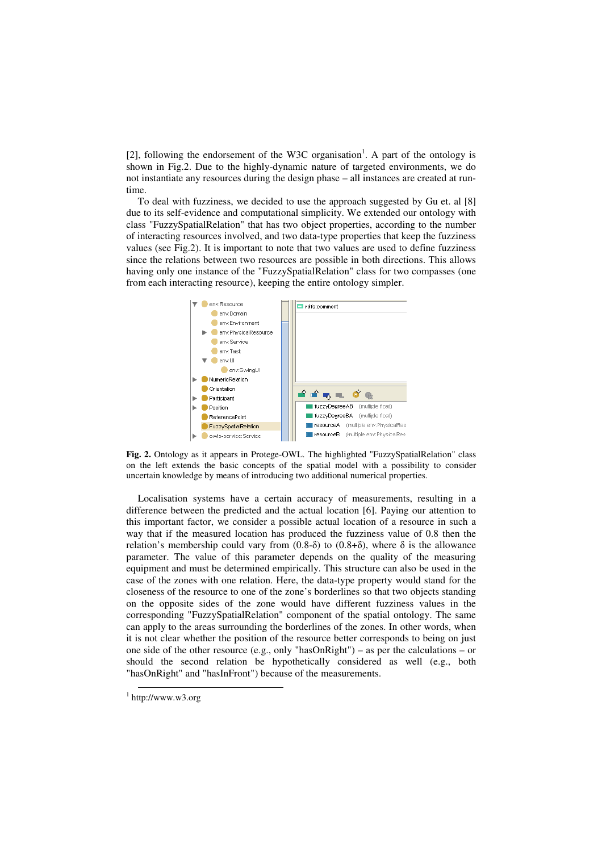[2], following the endorsement of the W3C organisation<sup>1</sup>. A part of the ontology is shown in Fig.2. Due to the highly-dynamic nature of targeted environments, we do not instantiate any resources during the design phase – all instances are created at runtime.

To deal with fuzziness, we decided to use the approach suggested by Gu et. al [8] due to its self-evidence and computational simplicity. We extended our ontology with class "FuzzySpatialRelation" that has two object properties, according to the number of interacting resources involved, and two data-type properties that keep the fuzziness values (see Fig.2). It is important to note that two values are used to define fuzziness since the relations between two resources are possible in both directions. This allows having only one instance of the "FuzzySpatialRelation" class for two compasses (one from each interacting resource), keeping the entire ontology simpler.



**Fig. 2.** Ontology as it appears in Protege-OWL. The highlighted "FuzzySpatialRelation" class on the left extends the basic concepts of the spatial model with a possibility to consider uncertain knowledge by means of introducing two additional numerical properties.

Localisation systems have a certain accuracy of measurements, resulting in a difference between the predicted and the actual location [6]. Paying our attention to this important factor, we consider a possible actual location of a resource in such a way that if the measured location has produced the fuzziness value of 0.8 then the relation's membership could vary from  $(0.8-\delta)$  to  $(0.8+\delta)$ , where  $\delta$  is the allowance parameter. The value of this parameter depends on the quality of the measuring equipment and must be determined empirically. This structure can also be used in the case of the zones with one relation. Here, the data-type property would stand for the closeness of the resource to one of the zone's borderlines so that two objects standing on the opposite sides of the zone would have different fuzziness values in the corresponding "FuzzySpatialRelation" component of the spatial ontology. The same can apply to the areas surrounding the borderlines of the zones. In other words, when it is not clear whether the position of the resource better corresponds to being on just one side of the other resource (e.g., only "hasOnRight") – as per the calculations – or should the second relation be hypothetically considered as well (e.g., both "hasOnRight" and "hasInFront") because of the measurements.

 $\overline{a}$ 

<sup>1</sup> http://www.w3.org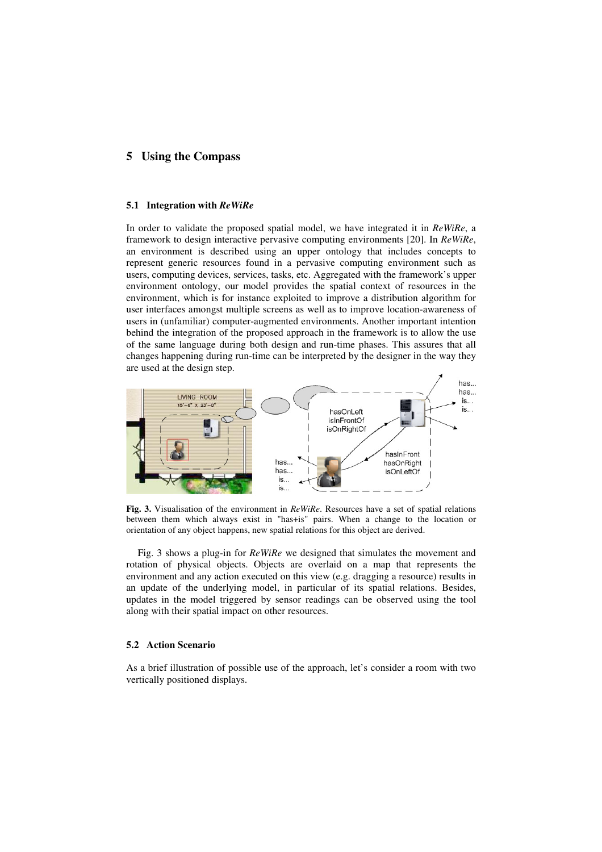#### **5 Using the Compass**

#### **5.1 Integration with** *ReWiRe*

In order to validate the proposed spatial model, we have integrated it in *ReWiRe*, a framework to design interactive pervasive computing environments [20]. In *ReWiRe*, an environment is described using an upper ontology that includes concepts to represent generic resources found in a pervasive computing environment such as users, computing devices, services, tasks, etc. Aggregated with the framework's upper environment ontology, our model provides the spatial context of resources in the environment, which is for instance exploited to improve a distribution algorithm for user interfaces amongst multiple screens as well as to improve location-awareness of users in (unfamiliar) computer-augmented environments. Another important intention behind the integration of the proposed approach in the framework is to allow the use of the same language during both design and run-time phases. This assures that all changes happening during run-time can be interpreted by the designer in the way they are used at the design step.



**Fig. 3.** Visualisation of the environment in *ReWiRe*. Resources have a set of spatial relations between them which always exist in "has+is" pairs. When a change to the location or orientation of any object happens, new spatial relations for this object are derived.

Fig. 3 shows a plug-in for *ReWiRe* we designed that simulates the movement and rotation of physical objects. Objects are overlaid on a map that represents the environment and any action executed on this view (e.g. dragging a resource) results in an update of the underlying model, in particular of its spatial relations. Besides, updates in the model triggered by sensor readings can be observed using the tool along with their spatial impact on other resources.

#### **5.2 Action Scenario**

As a brief illustration of possible use of the approach, let's consider a room with two vertically positioned displays.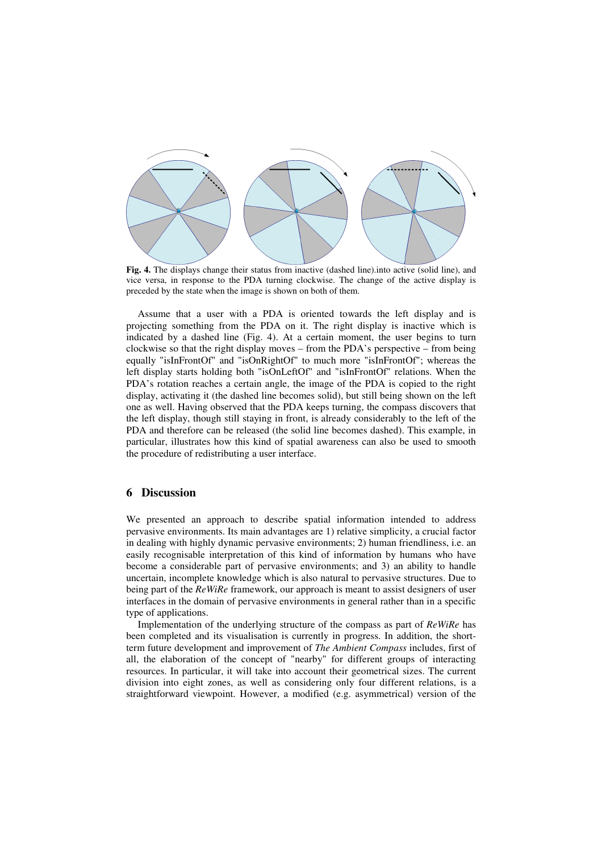

**Fig. 4.** The displays change their status from inactive (dashed line).into active (solid line), and vice versa, in response to the PDA turning clockwise. The change of the active display is preceded by the state when the image is shown on both of them.

Assume that a user with a PDA is oriented towards the left display and is projecting something from the PDA on it. The right display is inactive which is indicated by a dashed line (Fig. 4). At a certain moment, the user begins to turn clockwise so that the right display moves – from the PDA's perspective – from being equally "isInFrontOf" and "isOnRightOf" to much more "isInFrontOf"; whereas the left display starts holding both "isOnLeftOf" and "isInFrontOf" relations. When the PDA's rotation reaches a certain angle, the image of the PDA is copied to the right display, activating it (the dashed line becomes solid), but still being shown on the left one as well. Having observed that the PDA keeps turning, the compass discovers that the left display, though still staying in front, is already considerably to the left of the PDA and therefore can be released (the solid line becomes dashed). This example, in particular, illustrates how this kind of spatial awareness can also be used to smooth the procedure of redistributing a user interface.

### **6 Discussion**

We presented an approach to describe spatial information intended to address pervasive environments. Its main advantages are 1) relative simplicity, a crucial factor in dealing with highly dynamic pervasive environments; 2) human friendliness, i.e. an easily recognisable interpretation of this kind of information by humans who have become a considerable part of pervasive environments; and 3) an ability to handle uncertain, incomplete knowledge which is also natural to pervasive structures. Due to being part of the *ReWiRe* framework, our approach is meant to assist designers of user interfaces in the domain of pervasive environments in general rather than in a specific type of applications.

Implementation of the underlying structure of the compass as part of *ReWiRe* has been completed and its visualisation is currently in progress. In addition, the shortterm future development and improvement of *The Ambient Compass* includes, first of all, the elaboration of the concept of "nearby" for different groups of interacting resources. In particular, it will take into account their geometrical sizes. The current division into eight zones, as well as considering only four different relations, is a straightforward viewpoint. However, a modified (e.g. asymmetrical) version of the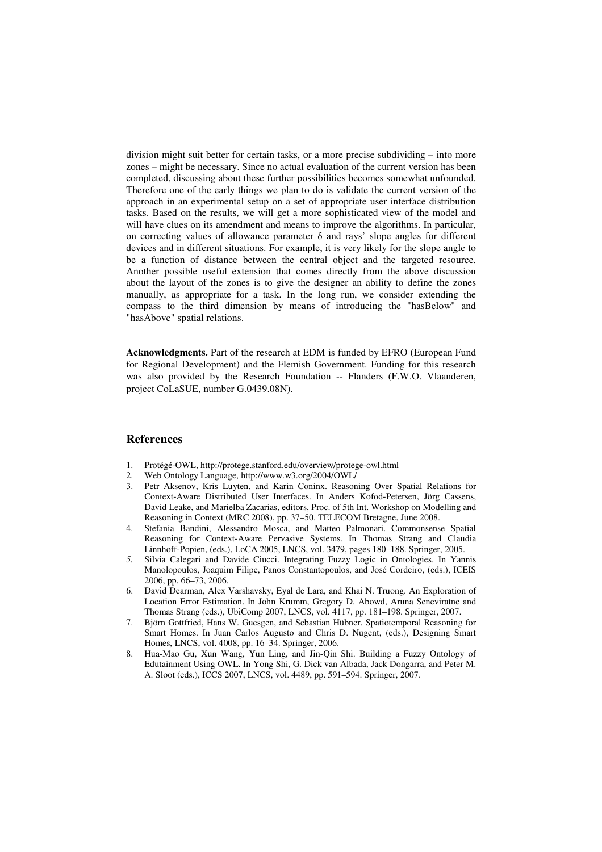division might suit better for certain tasks, or a more precise subdividing – into more zones – might be necessary. Since no actual evaluation of the current version has been completed, discussing about these further possibilities becomes somewhat unfounded. Therefore one of the early things we plan to do is validate the current version of the approach in an experimental setup on a set of appropriate user interface distribution tasks. Based on the results, we will get a more sophisticated view of the model and will have clues on its amendment and means to improve the algorithms. In particular, on correcting values of allowance parameter  $\delta$  and rays' slope angles for different devices and in different situations. For example, it is very likely for the slope angle to be a function of distance between the central object and the targeted resource. Another possible useful extension that comes directly from the above discussion about the layout of the zones is to give the designer an ability to define the zones manually, as appropriate for a task. In the long run, we consider extending the compass to the third dimension by means of introducing the "hasBelow" and "hasAbove" spatial relations.

**Acknowledgments.** Part of the research at EDM is funded by EFRO (European Fund for Regional Development) and the Flemish Government. Funding for this research was also provided by the Research Foundation -- Flanders (F.W.O. Vlaanderen, project CoLaSUE, number G.0439.08N).

#### **References**

- 1. Protégé-OWL, http://protege.stanford.edu/overview/protege-owl.html
- 2. Web Ontology Language, http://www.w3.org/2004/OWL/
- 3. Petr Aksenov, Kris Luyten, and Karin Coninx. Reasoning Over Spatial Relations for Context-Aware Distributed User Interfaces. In Anders Kofod-Petersen, Jörg Cassens, David Leake, and Marielba Zacarias, editors, Proc. of 5th Int. Workshop on Modelling and Reasoning in Context (MRC 2008), pp. 37–50. TELECOM Bretagne, June 2008.
- Stefania Bandini, Alessandro Mosca, and Matteo Palmonari. Commonsense Spatial Reasoning for Context-Aware Pervasive Systems. In Thomas Strang and Claudia Linnhoff-Popien, (eds.), LoCA 2005, LNCS, vol. 3479, pages 180–188. Springer, 2005.
- *5.* Silvia Calegari and Davide Ciucci. Integrating Fuzzy Logic in Ontologies. In Yannis Manolopoulos, Joaquim Filipe, Panos Constantopoulos, and José Cordeiro, (eds.), ICEIS 2006, pp. 66–73, 2006.
- 6. David Dearman, Alex Varshavsky, Eyal de Lara, and Khai N. Truong. An Exploration of Location Error Estimation. In John Krumm, Gregory D. Abowd, Aruna Seneviratne and Thomas Strang (eds.), UbiComp 2007, LNCS, vol. 4117, pp. 181–198. Springer, 2007.
- 7. Björn Gottfried, Hans W. Guesgen, and Sebastian Hübner. Spatiotemporal Reasoning for Smart Homes. In Juan Carlos Augusto and Chris D. Nugent, (eds.), Designing Smart Homes, LNCS, vol. 4008, pp. 16–34. Springer, 2006.
- 8. Hua-Mao Gu, Xun Wang, Yun Ling, and Jin-Qin Shi. Building a Fuzzy Ontology of Edutainment Using OWL. In Yong Shi, G. Dick van Albada, Jack Dongarra, and Peter M. A. Sloot (eds.), ICCS 2007, LNCS, vol. 4489, pp. 591–594. Springer, 2007.